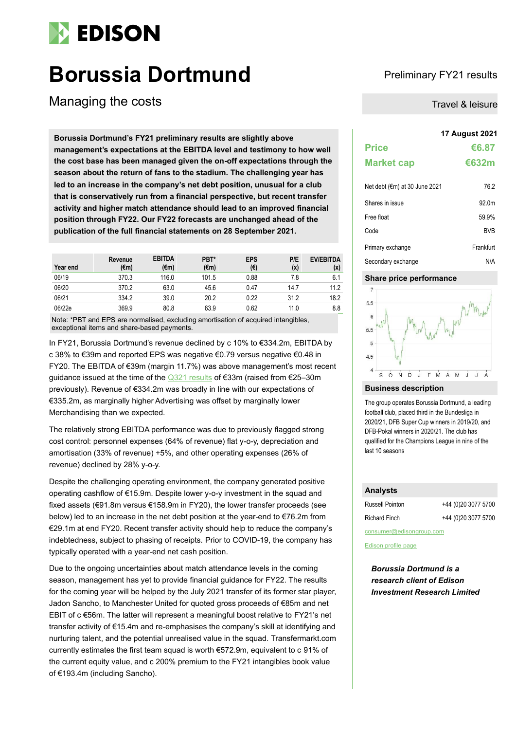# **EDISON**

# **Borussia Dortmund** Preliminary FY21 results

Managing the costs Travel & leisure Travel & leisure

**17 August 2021 Borussia Dortmund's FY21 preliminary results are slightly above management's expectations at the EBITDA level and testimony to how well the cost base has been managed given the on-off expectations through the season about the return of fans to the stadium. The challenging year has led to an increase in the company's net debt position, unusual for a club that is conservatively run from a financial perspective, but recent transfer activity and higher match attendance should lead to an improved financial position through FY22. Our FY22 forecasts are unchanged ahead of the publication of the full financial statements on 28 September 2021.**

| Year end | Revenue<br>$(\epsilon m)$ | <b>EBITDA</b><br>$(\epsilon m)$ | PBT*<br>$(\epsilon m)$ | <b>EPS</b><br>(€) | P/E<br>(x) | <b>EV/EBITDA</b><br>(x) |
|----------|---------------------------|---------------------------------|------------------------|-------------------|------------|-------------------------|
| 06/19    | 370.3                     | 116.0                           | 101.5                  | 0.88              | 7.8        | 6.1                     |
| 06/20    | 370.2                     | 63.0                            | 45.6                   | 0.47              | 14.7       | 11.2                    |
| 06/21    | 334.2                     | 39.0                            | 20.2                   | 0.22              | 31.2       | 18.2                    |
| 06/22e   | 369.9                     | 80.8                            | 63.9                   | 0.62              | 11.0       | 8.8                     |

Note: \*PBT and EPS are normalised, excluding amortisation of acquired intangibles, exceptional items and share-based payments.

In FY21, Borussia Dortmund's revenue declined by c 10% to €334.2m, EBITDA by c 38% to €39m and reported EPS was negative €0.79 versus negative €0.48 in FY20. The EBITDA of €39m (margin 11.7%) was above management's most recent guidance issued at the time of the [Q321 results](https://www.edisongroup.com/publication/nice-finish/29568) of €33m (raised from €25–30m previously). Revenue of €334.2m was broadly in line with our expectations of €335.2m, as marginally higher Advertising was offset by marginally lower Merchandising than we expected.

The relatively strong EBITDA performance was due to previously flagged strong cost control: personnel expenses (64% of revenue) flat y-o-y, depreciation and amortisation (33% of revenue) +5%, and other operating expenses (26% of revenue) declined by 28% y-o-y.

Despite the challenging operating environment, the company generated positive operating cashflow of €15.9m. Despite lower y-o-y investment in the squad and fixed assets (€91.8m versus €158.9m in FY20), the lower transfer proceeds (see below) led to an increase in the net debt position at the year-end to €76.2m from €29.1m at end FY20. Recent transfer activity should help to reduce the company's indebtedness, subject to phasing of receipts. Prior to COVID-19, the company has typically operated with a year-end net cash position.

Due to the ongoing uncertainties about match attendance levels in the coming season, management has yet to provide financial guidance for FY22. The results for the coming year will be helped by the July 2021 transfer of its former star player, Jadon Sancho, to Manchester United for quoted gross proceeds of €85m and net EBIT of c €56m. The latter will represent a meaningful boost relative to FY21's net transfer activity of €15.4m and re-emphasises the company's skill at identifying and nurturing talent, and the potential unrealised value in the squad. Transfermarkt.com currently estimates the first team squad is worth €572.9m, equivalent to c 91% of the current equity value, and c 200% premium to the FY21 intangibles book value of €193.4m (including Sancho).

| <b>Price</b>                     | €6.87 |
|----------------------------------|-------|
| <b>Market cap</b>                | €632m |
| $N0$ dobt $(Cm)$ at 20 lung 2021 | 70 J  |

| $1951$ up $1111$ at $00$ $00115$ $2021$ | 1 U.Z     |
|-----------------------------------------|-----------|
| Shares in issue                         | 92.0m     |
| Free float                              | 59.9%     |
| Code                                    | BVB.      |
| Primary exchange                        | Frankfurt |
| Secondary exchange                      | N/A       |

# **Share price performance**



## **Business description**

The group operates Borussia Dortmund, a leading football club, placed third in the Bundesliga in 2020/21, DFB Super Cup winners in 2019/20, and DFB-Pokal winners in 2020/21. The club has qualified for the Champions League in nine of the last 10 seasons

# **Analysts**

| Russell Pointon          | +44 (0)20 3077 5700 |  |  |  |
|--------------------------|---------------------|--|--|--|
| <b>Richard Finch</b>     | +44 (0)20 3077 5700 |  |  |  |
| consumer@edisongroup.com |                     |  |  |  |

### [Edison profile page](https://www.edisongroup.com/company/borussia-dortmund/1521)

*Borussia Dortmund is a research client of Edison Investment Research Limited*